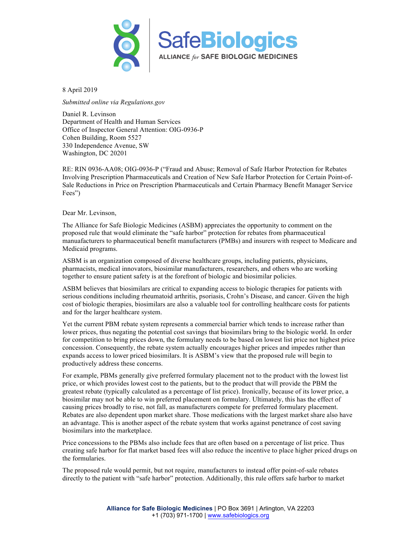

8 April 2019

*Submitted online via Regulations.gov*

Daniel R. Levinson Department of Health and Human Services Office of Inspector General Attention: OIG-0936-P Cohen Building, Room 5527 330 Independence Avenue, SW Washington, DC 20201

RE: RIN 0936-AA08; OIG-0936-P ("Fraud and Abuse; Removal of Safe Harbor Protection for Rebates Involving Prescription Pharmaceuticals and Creation of New Safe Harbor Protection for Certain Point-of-Sale Reductions in Price on Prescription Pharmaceuticals and Certain Pharmacy Benefit Manager Service Fees")

Dear Mr. Levinson,

The Alliance for Safe Biologic Medicines (ASBM) appreciates the opportunity to comment on the proposed rule that would eliminate the "safe harbor" protection for rebates from pharmaceutical manuafacturers to pharmaceutical benefit manufacturers (PMBs) and insurers with respect to Medicare and Medicaid programs.

ASBM is an organization composed of diverse healthcare groups, including patients, physicians, pharmacists, medical innovators, biosimilar manufacturers, researchers, and others who are working together to ensure patient safety is at the forefront of biologic and biosimilar policies.

ASBM believes that biosimilars are critical to expanding access to biologic therapies for patients with serious conditions including rheumatoid arthritis, psoriasis, Crohn's Disease, and cancer. Given the high cost of biologic therapies, biosimilars are also a valuable tool for controlling healthcare costs for patients and for the larger healthcare system.

Yet the current PBM rebate system represents a commercial barrier which tends to increase rather than lower prices, thus negating the potential cost savings that biosimilars bring to the biologic world. In order for competition to bring prices down, the formulary needs to be based on lowest list price not highest price concession. Consequently, the rebate system actually encourages higher prices and impedes rather than expands access to lower priced biosimilars. It is ASBM's view that the proposed rule will begin to productively address these concerns.

For example, PBMs generally give preferred formulary placement not to the product with the lowest list price, or which provides lowest cost to the patients, but to the product that will provide the PBM the greatest rebate (typically calculated as a percentage of list price). Ironically, because of its lower price, a biosimilar may not be able to win preferred placement on formulary. Ultimately, this has the effect of causing prices broadly to rise, not fall, as manufacturers compete for preferred formulary placement. Rebates are also dependent upon market share. Those medications with the largest market share also have an advantage. This is another aspect of the rebate system that works against penetrance of cost saving biosimilars into the marketplace.

Price concessions to the PBMs also include fees that are often based on a percentage of list price. Thus creating safe harbor for flat market based fees will also reduce the incentive to place higher priced drugs on the formularies.

The proposed rule would permit, but not require, manufacturers to instead offer point-of-sale rebates directly to the patient with "safe harbor" protection. Additionally, this rule offers safe harbor to market